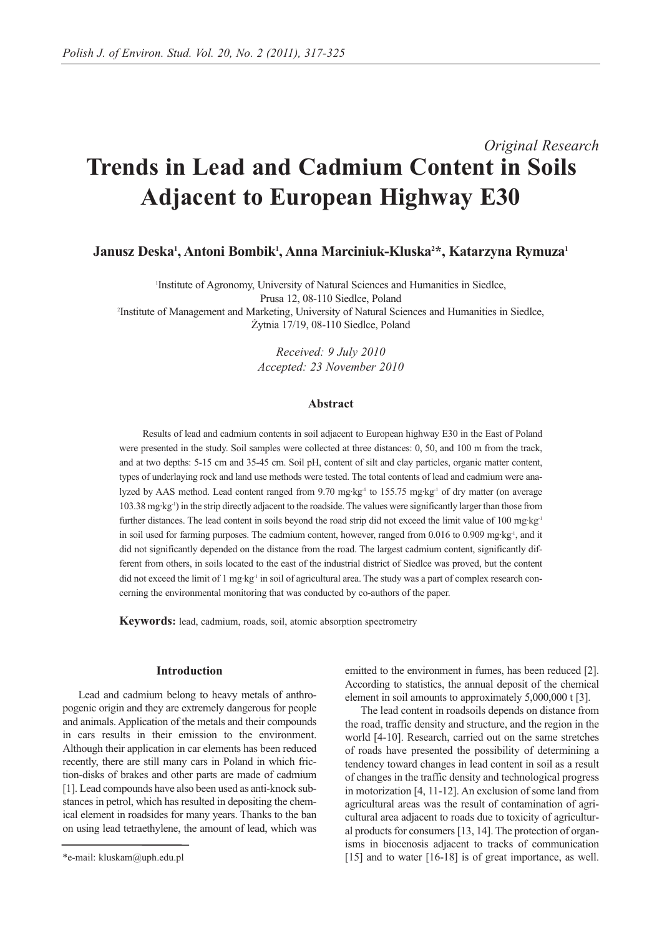# *Original Research* **Trends in Lead and Cadmium Content in Soils Adjacent to European Highway E30**

Janusz Deska<sup>1</sup>, Antoni Bombik<sup>1</sup>, Anna Marciniuk-Kluska<sup>2</sup>\*, Katarzyna Rymuza<sup>1</sup>

1 Institute of Agronomy, University of Natural Sciences and Humanities in Siedlce, Prusa 12, 08-110 Siedlce, Poland 2 Institute of Management and Marketing, University of Natural Sciences and Humanities in Siedlce, Żytnia 17/19, 08-110 Siedlce, Poland

> *Received: 9 July 2010 Accepted: 23 November 2010*

## **Abstract**

Results of lead and cadmium contents in soil adjacent to European highway E30 in the East of Poland were presented in the study. Soil samples were collected at three distances: 0, 50, and 100 m from the track, and at two depths: 5-15 cm and 35-45 cm. Soil pH, content of silt and clay particles, organic matter content, types of underlaying rock and land use methods were tested. The total contents of lead and cadmium were analyzed by AAS method. Lead content ranged from 9.70 mg·kg<sup>-1</sup> to 155.75 mg·kg<sup>-1</sup> of dry matter (on average 103.38 mg·kg-1) in the strip directly adjacent to the roadside. The values were significantly larger than those from further distances. The lead content in soils beyond the road strip did not exceed the limit value of 100 mg·kg<sup>-1</sup> in soil used for farming purposes. The cadmium content, however, ranged from 0.016 to 0.909 mg·kg<sup>-1</sup>, and it did not significantly depended on the distance from the road. The largest cadmium content, significantly different from others, in soils located to the east of the industrial district of Siedlce was proved, but the content did not exceed the limit of 1 mg·kg<sup>-1</sup> in soil of agricultural area. The study was a part of complex research concerning the environmental monitoring that was conducted by co-authors of the paper.

**Keywords:** lead, cadmium, roads, soil, atomic absorption spectrometry

### **Introduction**

Lead and cadmium belong to heavy metals of anthropogenic origin and they are extremely dangerous for people and animals. Application of the metals and their compounds in cars results in their emission to the environment. Although their application in car elements has been reduced recently, there are still many cars in Poland in which friction-disks of brakes and other parts are made of cadmium [1]. Lead compounds have also been used as anti-knock substances in petrol, which has resulted in depositing the chemical element in roadsides for many years. Thanks to the ban on using lead tetraethylene, the amount of lead, which was emitted to the environment in fumes, has been reduced [2]. According to statistics, the annual deposit of the chemical element in soil amounts to approximately 5,000,000 t [3].

The lead content in roadsoils depends on distance from the road, traffic density and structure, and the region in the world [4-10]. Research, carried out on the same stretches of roads have presented the possibility of determining a tendency toward changes in lead content in soil as a result of changes in the traffic density and technological progress in motorization [4, 11-12]. An exclusion of some land from agricultural areas was the result of contamination of agricultural area adjacent to roads due to toxicity of agricultural products for consumers [13, 14]. The protection of organisms in biocenosis adjacent to tracks of communication [15] and to water [16-18] is of great importance, as well.

<sup>\*</sup>e-mail: kluskam@uph.edu.pl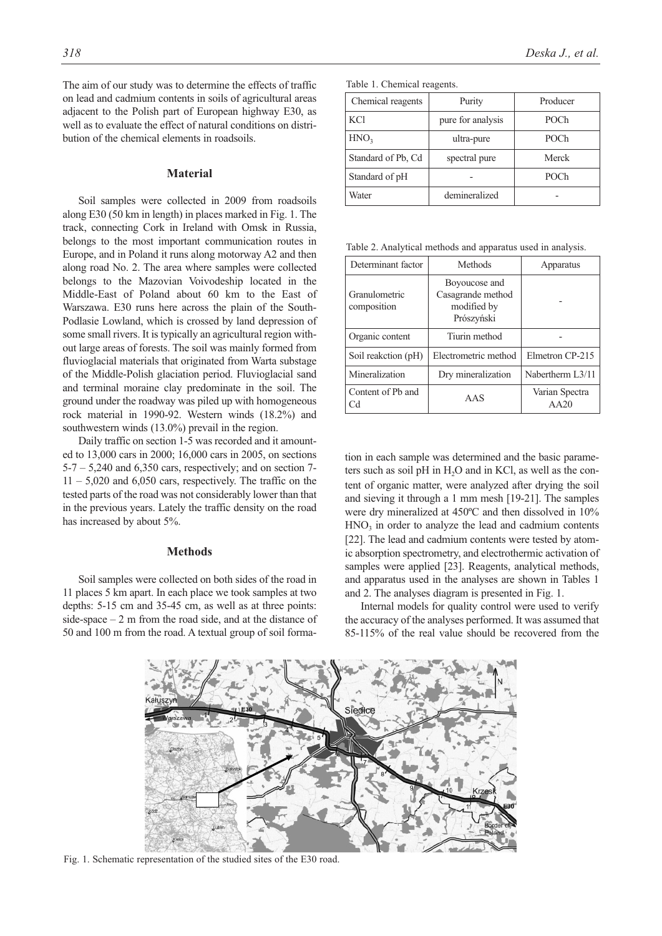The aim of our study was to determine the effects of traffic on lead and cadmium contents in soils of agricultural areas adjacent to the Polish part of European highway E30, as well as to evaluate the effect of natural conditions on distribution of the chemical elements in roadsoils.

#### **Material**

Soil samples were collected in 2009 from roadsoils along E30 (50 km in length) in places marked in Fig. 1. The track, connecting Cork in Ireland with Omsk in Russia, belongs to the most important communication routes in Europe, and in Poland it runs along motorway A2 and then along road No. 2. The area where samples were collected belongs to the Mazovian Voivodeship located in the Middle-East of Poland about 60 km to the East of Warszawa. E30 runs here across the plain of the South-Podlasie Lowland, which is crossed by land depression of some small rivers. It is typically an agricultural region without large areas of forests. The soil was mainly formed from fluvioglacial materials that originated from Warta substage of the Middle-Polish glaciation period. Fluvioglacial sand and terminal moraine clay predominate in the soil. The ground under the roadway was piled up with homogeneous rock material in 1990-92. Western winds (18.2%) and southwestern winds (13.0%) prevail in the region.

Daily traffic on section 1-5 was recorded and it amounted to 13,000 cars in 2000; 16,000 cars in 2005, on sections  $5-7 - 5,240$  and  $6,350$  cars, respectively; and on section 7- $11 - 5,020$  and  $6,050$  cars, respectively. The traffic on the tested parts of the road was not considerably lower than that in the previous years. Lately the traffic density on the road has increased by about 5%.

#### **Methods**

Soil samples were collected on both sides of the road in 11 places 5 km apart. In each place we took samples at two depths: 5-15 cm and 35-45 cm, as well as at three points: side-space  $-2$  m from the road side, and at the distance of 50 and 100 m from the road. A textual group of soil forma-

| Chemical reagents  | Purity            | Producer |
|--------------------|-------------------|----------|
| <b>KCl</b>         | pure for analysis | POCh     |
| HNO <sub>3</sub>   | ultra-pure        | POCh     |
| Standard of Pb, Cd | spectral pure     | Merck    |
| Standard of pH     |                   | POCh     |
| Water              | demineralized     |          |

Table 2. Analytical methods and apparatus used in analysis.

| Determinant factor           | Methods                                                         | Apparatus              |
|------------------------------|-----------------------------------------------------------------|------------------------|
| Granulometric<br>composition | Boyoucose and<br>Casagrande method<br>modified by<br>Prószyński |                        |
| Organic content              | Tiurin method                                                   |                        |
| Soil reakction (pH)          | Electrometric method                                            | Elmetron CP-215        |
| Mineralization               | Dry mineralization                                              | Nabertherm L3/11       |
| Content of Pb and<br>Сd      | AAS                                                             | Varian Spectra<br>AA20 |

tion in each sample was determined and the basic parameters such as soil pH in  $H<sub>2</sub>O$  and in KCl, as well as the content of organic matter, were analyzed after drying the soil and sieving it through a 1 mm mesh [19-21]. The samples were dry mineralized at 450ºC and then dissolved in 10%  $HNO<sub>3</sub>$  in order to analyze the lead and cadmium contents [22]. The lead and cadmium contents were tested by atomic absorption spectrometry, and electrothermic activation of samples were applied [23]. Reagents, analytical methods, and apparatus used in the analyses are shown in Tables 1 and 2. The analyses diagram is presented in Fig. 1.

Internal models for quality control were used to verify the accuracy of the analyses performed. It was assumed that 85-115% of the real value should be recovered from the



Fig. 1. Schematic representation of the studied sites of the E30 road.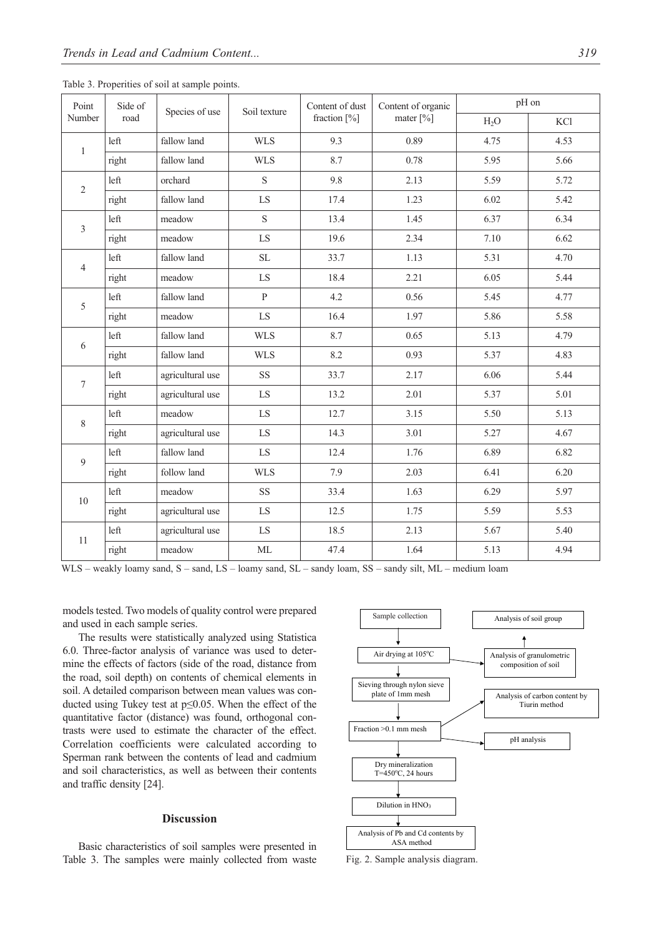| Point<br>Side of |        | Species of use   | Soil texture | Content of dust | Content of organic      | pH on            |      |  |
|------------------|--------|------------------|--------------|-----------------|-------------------------|------------------|------|--|
| Number           | road   |                  |              | fraction $[\%]$ | mater $\lceil\% \rceil$ | H <sub>2</sub> O | KCl  |  |
| $\mathbf{1}$     | left   | fallow land      | <b>WLS</b>   | 9.3             | 0.89                    | 4.75             | 4.53 |  |
|                  | right  | fallow land      | <b>WLS</b>   | 8.7             | 0.78                    | 5.95             | 5.66 |  |
| $\overline{2}$   | left   | orchard          | $\mathbf S$  | 9.8             | 2.13                    | 5.59             | 5.72 |  |
|                  | right  | fallow land      | LS           | 17.4            | 1.23                    | 6.02             | 5.42 |  |
| 3                | left   | meadow           | $\mathbf S$  | 13.4            | 1.45                    | 6.37             | 6.34 |  |
|                  | right  | meadow           | LS           | 19.6            | 2.34                    | 7.10             | 6.62 |  |
| $\overline{4}$   | left   | fallow land      | $\rm SL$     | 33.7            | 1.13                    | 5.31             | 4.70 |  |
|                  | right  | meadow           | LS           | 18.4            | 2.21                    | 6.05             | 5.44 |  |
| 5                | left   | fallow land      | $\, {\bf p}$ | 4.2             | 0.56                    | 5.45             | 4.77 |  |
| right            | meadow | ${\rm LS}$       | 16.4         | 1.97            | 5.86                    | 5.58             |      |  |
| 6                | left   | fallow land      | <b>WLS</b>   | 8.7             | 0.65                    | 5.13             | 4.79 |  |
|                  | right  | fallow land      | <b>WLS</b>   | 8.2             | 0.93                    | 5.37             | 4.83 |  |
| $\tau$           | left   | agricultural use | SS           | 33.7            | 2.17                    | 6.06             | 5.44 |  |
|                  | right  | agricultural use | LS           | 13.2            | 2.01                    | 5.37             | 5.01 |  |
| $\,8\,$          | left   | meadow           | LS           | 12.7            | 3.15                    | 5.50             | 5.13 |  |
|                  | right  | agricultural use | LS           | 14.3            | 3.01                    | 5.27             | 4.67 |  |
| 9                | left   | fallow land      | ${\rm LS}$   | 12.4            | 1.76                    | 6.89             | 6.82 |  |
|                  | right  | follow land      | <b>WLS</b>   | 7.9             | 2.03                    | 6.41             | 6.20 |  |
| 10               | left   | meadow           | SS           | 33.4            | 1.63                    | 6.29             | 5.97 |  |
|                  | right  | agricultural use | LS           | 12.5            | 1.75                    | 5.59             | 5.53 |  |
| 11               | left   | agricultural use | LS           | 18.5            | 2.13                    | 5.67             | 5.40 |  |
|                  | right  | meadow           | $\rm ML$     | 47.4            | 1.64                    | 5.13             | 4.94 |  |

Table 3. Properities of soil at sample points.

WLS – weakly loamy sand, S – sand, LS – loamy sand, SL – sandy loam, SS – sandy silt, ML – medium loam

models tested. Two models of quality control were prepared and used in each sample series.

The results were statistically analyzed using Statistica 6.0. Three-factor analysis of variance was used to determine the effects of factors (side of the road, distance from the road, soil depth) on contents of chemical elements in soil. A detailed comparison between mean values was conducted using Tukey test at p≤0.05. When the effect of the quantitative factor (distance) was found, orthogonal contrasts were used to estimate the character of the effect. Correlation coefficients were calculated according to Sperman rank between the contents of lead and cadmium and soil characteristics, as well as between their contents and traffic density [24].

## **Discussion**

Basic characteristics of soil samples were presented in Table 3. The samples were mainly collected from waste



Fig. 2. Sample analysis diagram.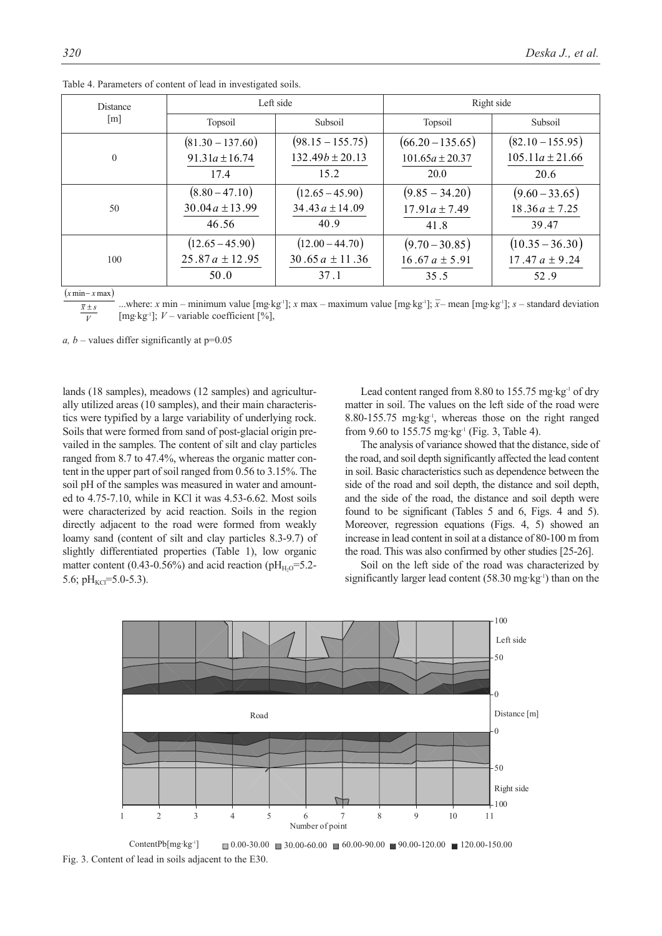| <b>Distance</b>   | Left side          |                     | Right side          |                     |  |
|-------------------|--------------------|---------------------|---------------------|---------------------|--|
| $\lceil m \rceil$ | Topsoil            | Subsoil             | Topsoil             | Subsoil             |  |
| $\Omega$          | $(81.30 - 137.60)$ | $(98.15 - 155.75)$  | $(66.20 - 135.65)$  | $(82.10 - 155.95)$  |  |
|                   | $91.31a \pm 16.74$ | $132.49b \pm 20.13$ | $101.65a \pm 20.37$ | $105.11a \pm 21.66$ |  |
|                   | 17.4               | 15.2                | 20.0                | 20.6                |  |
| 50                | $(8.80 - 47.10)$   | $(12.65 - 45.90)$   | $(9.85 - 34.20)$    | $(9.60 - 33.65)$    |  |
|                   | $30.04a \pm 13.99$ | 34.43 $a \pm 14.09$ | $17.91a \pm 7.49$   | $18.36a \pm 7.25$   |  |
|                   | 46.56              | 40.9                | 41.8                | 39.47               |  |
| 100               | $(12.65 - 45.90)$  | $(12.00 - 44.70)$   | $(9.70 - 30.85)$    | $(10.35 - 36.30)$   |  |
|                   | $25.87a \pm 12.95$ | 30.65 $a \pm 11.36$ | 16.67 $a \pm 5.91$  | 17.47 $a \pm 9.24$  |  |
|                   | 50.0               | 37.1                | 35.5                | 52.9                |  |

Table 4. Parameters of content of lead in investigated soils.

 $(x \min - x \max)$ 

...where: *x* min – minimum value [mg⋅kg<sup>1</sup>]; *x* max – maximum value [mg⋅kg<sup>1</sup>]; *x*− mean [mg⋅kg<sup>1</sup>]; *s* – standard deviation [mg·kg<sup>-1</sup>]; *V* – variable coefficient [%],  $\overline{V}$  $\overline{x} \pm s$ 

*a, b* – values differ significantly at  $p=0.05$ 

lands (18 samples), meadows (12 samples) and agriculturally utilized areas (10 samples), and their main characteristics were typified by a large variability of underlying rock. Soils that were formed from sand of post-glacial origin prevailed in the samples. The content of silt and clay particles ranged from 8.7 to 47.4%, whereas the organic matter content in the upper part of soil ranged from 0.56 to 3.15%. The soil pH of the samples was measured in water and amounted to 4.75-7.10, while in KCl it was 4.53-6.62. Most soils were characterized by acid reaction. Soils in the region directly adjacent to the road were formed from weakly loamy sand (content of silt and clay particles 8.3-9.7) of slightly differentiated properties (Table 1), low organic matter content (0.43-0.56%) and acid reaction ( $pH_{H_2O} = 5.2$ -5.6;  $pH_{\text{KCl}}$ =5.0-5.3).

Lead content ranged from 8.80 to 155.75 mg·kg<sup>-1</sup> of dry matter in soil. The values on the left side of the road were 8.80-155.75 mg·kg<sup>-1</sup>, whereas those on the right ranged from 9.60 to 155.75 mg·kg<sup>-1</sup> (Fig. 3, Table 4).

The analysis of variance showed that the distance, side of the road, and soil depth significantly affected the lead content in soil. Basic characteristics such as dependence between the side of the road and soil depth, the distance and soil depth, and the side of the road, the distance and soil depth were found to be significant (Tables 5 and 6, Figs. 4 and 5). Moreover, regression equations (Figs. 4, 5) showed an increase in lead content in soil at a distance of 80-100 m from the road. This was also confirmed by other studies [25-26].

Soil on the left side of the road was characterized by significantly larger lead content  $(58.30 \text{ mg} \cdot \text{kg}^{-1})$  than on the



ContentPb[mg·kg<sup>-1</sup>]  $\Box$  0.00-30.00  $\Box$  30.00-60.00  $\Box$  60.00-90.00  $\Box$  90.00-120.00  $\Box$  120.00-150.00 Fig. 3. Content of lead in soils adjacent to the E30.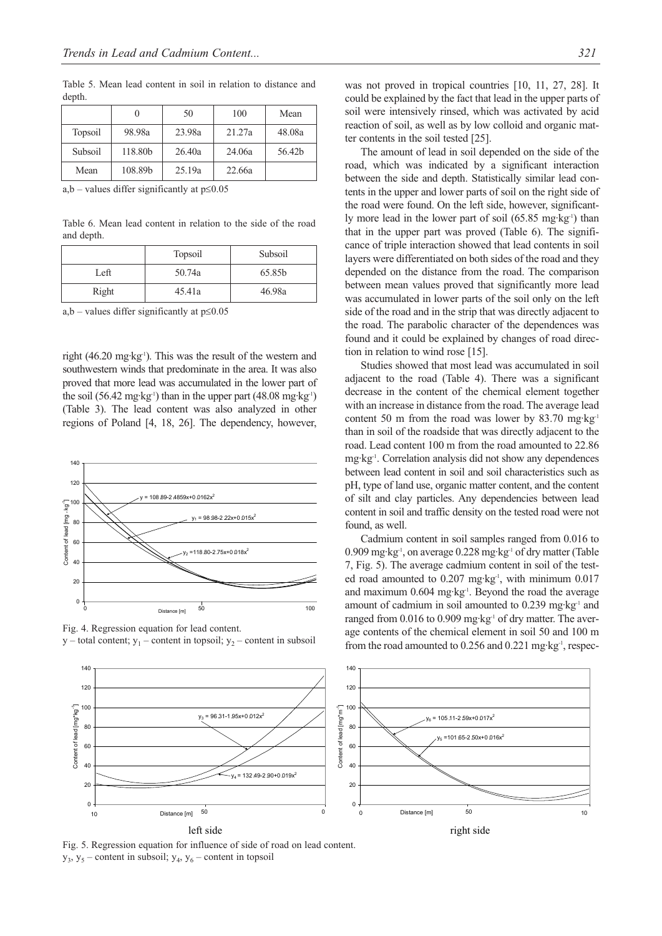Table 5. Mean lead content in soil in relation to distance and depth.

|         |         | 50     | 100    | Mean   |
|---------|---------|--------|--------|--------|
| Topsoil | 98.98a  | 23.98a | 21.27a | 48.08a |
| Subsoil | 118.80b | 26.40a | 24.06a | 56.42b |
| Mean    | 108.89b | 25.19a | 22.66a |        |

a,b – values differ significantly at  $p \le 0.05$ 

Table 6. Mean lead content in relation to the side of the road and depth.

|       | Topsoil | Subsoil |
|-------|---------|---------|
| Left  | 50.74a  | 65.85b  |
| Right | 45.41a  | 46.98a  |

a,b – values differ significantly at  $p \le 0.05$ 

right (46.20 mg·kg<sup>-1</sup>). This was the result of the western and southwestern winds that predominate in the area. It was also proved that more lead was accumulated in the lower part of the soil (56.42 mg·kg<sup>-1</sup>) than in the upper part (48.08 mg·kg<sup>-1</sup>) (Table 3). The lead content was also analyzed in other regions of Poland [4, 18, 26]. The dependency, however,



Fig. 4. Regression equation for lead content.  $y$  – total content;  $y_1$  – content in topsoil;  $y_2$  – content in subsoil

was not proved in tropical countries [10, 11, 27, 28]. It could be explained by the fact that lead in the upper parts of soil were intensively rinsed, which was activated by acid reaction of soil, as well as by low colloid and organic matter contents in the soil tested [25].

The amount of lead in soil depended on the side of the road, which was indicated by a significant interaction between the side and depth. Statistically similar lead contents in the upper and lower parts of soil on the right side of the road were found. On the left side, however, significantly more lead in the lower part of soil  $(65.85 \text{ mg} \cdot \text{kg}^{-1})$  than that in the upper part was proved (Table 6). The significance of triple interaction showed that lead contents in soil layers were differentiated on both sides of the road and they depended on the distance from the road. The comparison between mean values proved that significantly more lead was accumulated in lower parts of the soil only on the left side of the road and in the strip that was directly adjacent to the road. The parabolic character of the dependences was found and it could be explained by changes of road direction in relation to wind rose [15].

Studies showed that most lead was accumulated in soil adjacent to the road (Table 4). There was a significant decrease in the content of the chemical element together with an increase in distance from the road. The average lead content 50 m from the road was lower by 83.70 mg·kg-1 than in soil of the roadside that was directly adjacent to the road. Lead content 100 m from the road amounted to 22.86 mg·kg-1. Correlation analysis did not show any dependences between lead content in soil and soil characteristics such as pH, type of land use, organic matter content, and the content of silt and clay particles. Any dependencies between lead content in soil and traffic density on the tested road were not found, as well.

Cadmium content in soil samples ranged from 0.016 to 0.909 mg·kg-1, on average 0.228 mg·kg-1 of dry matter (Table 7, Fig. 5). The average cadmium content in soil of the tested road amounted to 0.207 mg·kg<sup>-1</sup>, with minimum 0.017 and maximum 0.604 mg·kg<sup>-1</sup>. Beyond the road the average amount of cadmium in soil amounted to 0.239 mg·kg<sup>-1</sup> and ranged from  $0.016$  to  $0.909$  mg·kg<sup>-1</sup> of dry matter. The average contents of the chemical element in soil 50 and 100 m from the road amounted to 0.256 and 0.221 mg·kg-1, respec-



Fig. 5. Regression equation for influence of side of road on lead content.  $y_3$ ,  $y_5$  – content in subsoil;  $y_4$ ,  $y_6$  – content in topsoil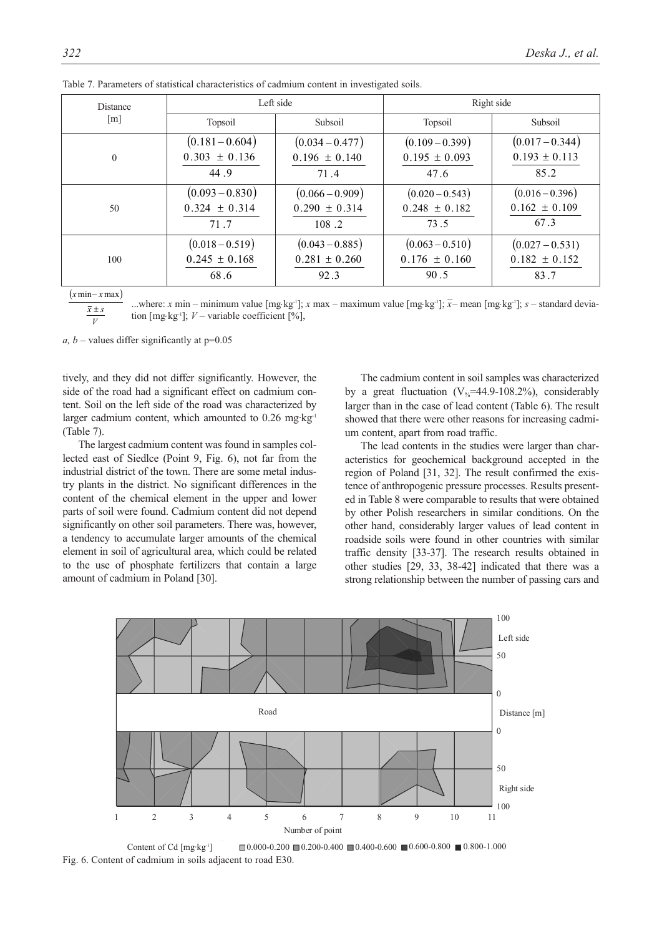| <b>Distance</b>   | Left side                              |                                        | Right side                             |                                        |  |
|-------------------|----------------------------------------|----------------------------------------|----------------------------------------|----------------------------------------|--|
| $\lceil m \rceil$ | Topsoil                                | Subsoil                                | Topsoil                                | Subsoil                                |  |
| $\theta$          | $(0.181 - 0.604)$<br>$0.303 \pm 0.136$ | $(0.034 - 0.477)$<br>$0.196 \pm 0.140$ | $(0.109 - 0.399)$<br>$0.195 \pm 0.093$ | $(0.017 - 0.344)$<br>$0.193 \pm 0.113$ |  |
|                   | 44.9                                   | 71.4                                   | 47.6                                   | 85.2                                   |  |
| 50                | $(0.093 - 0.830)$<br>$0.324 \pm 0.314$ | $(0.066 - 0.909)$<br>$0.290 \pm 0.314$ | $(0.020 - 0.543)$<br>$0.248 \pm 0.182$ | $(0.016 - 0.396)$<br>$0.162 \pm 0.109$ |  |
|                   | 71.7                                   | 108.2                                  | 73.5                                   | 67.3                                   |  |
|                   | $(0.018 - 0.519)$                      | $(0.043 - 0.885)$                      | $(0.063 - 0.510)$                      | $(0.027 - 0.531)$                      |  |
| 100               | $0.245 \pm 0.168$                      | $0.281 \pm 0.260$                      | $0.176 \pm 0.160$                      | $0.182 \pm 0.152$                      |  |
|                   | 68.6                                   | 92.3                                   | 90.5                                   | 83.7                                   |  |

|  | Table 7. Parameters of statistical characteristics of cadmium content in investigated soils. |  |  |
|--|----------------------------------------------------------------------------------------------|--|--|
|  |                                                                                              |  |  |
|  |                                                                                              |  |  |

 $(x \text{min} - x \text{max})$ 

..where: *x* min – minimum value [mg⋅kg<sup>-1</sup>]; *x* max – maximum value [mg⋅kg<sup>-1</sup>]; *x* – mean [mg⋅kg<sup>-1</sup>]; *s* – standard deviation [mg⋅kg-1]; *V* – variable coefficient [%], *V*  $\overline{x} \pm s$ 

*a, b* – values differ significantly at  $p=0.05$ 

tively, and they did not differ significantly. However, the side of the road had a significant effect on cadmium content. Soil on the left side of the road was characterized by larger cadmium content, which amounted to 0.26 mg·kg<sup>-1</sup> (Table 7).

The largest cadmium content was found in samples collected east of Siedlce (Point 9, Fig. 6), not far from the industrial district of the town. There are some metal industry plants in the district. No significant differences in the content of the chemical element in the upper and lower parts of soil were found. Cadmium content did not depend significantly on other soil parameters. There was, however, a tendency to accumulate larger amounts of the chemical element in soil of agricultural area, which could be related to the use of phosphate fertilizers that contain a large amount of cadmium in Poland [30].

The cadmium content in soil samples was characterized by a great fluctuation ( $V_{\%}$ =44.9-108.2%), considerably larger than in the case of lead content (Table 6). The result showed that there were other reasons for increasing cadmium content, apart from road traffic.

The lead contents in the studies were larger than characteristics for geochemical background accepted in the region of Poland [31, 32]. The result confirmed the existence of anthropogenic pressure processes. Results presented in Table 8 were comparable to results that were obtained by other Polish researchers in similar conditions. On the other hand, considerably larger values of lead content in roadside soils were found in other countries with similar traffic density [33-37]. The research results obtained in other studies [29, 33, 38-42] indicated that there was a strong relationship between the number of passing cars and



Content of Cd  $[mg \text{·kg} \cdot ]$   $\Box$  0.000-0.200  $\Box$  0.200-0.400  $\Box$  0.400-0.600  $\Box$  0.600-0.800  $\Box$  0.800-1.000 Fig. 6. Content of cadmium in soils adjacent to road E30.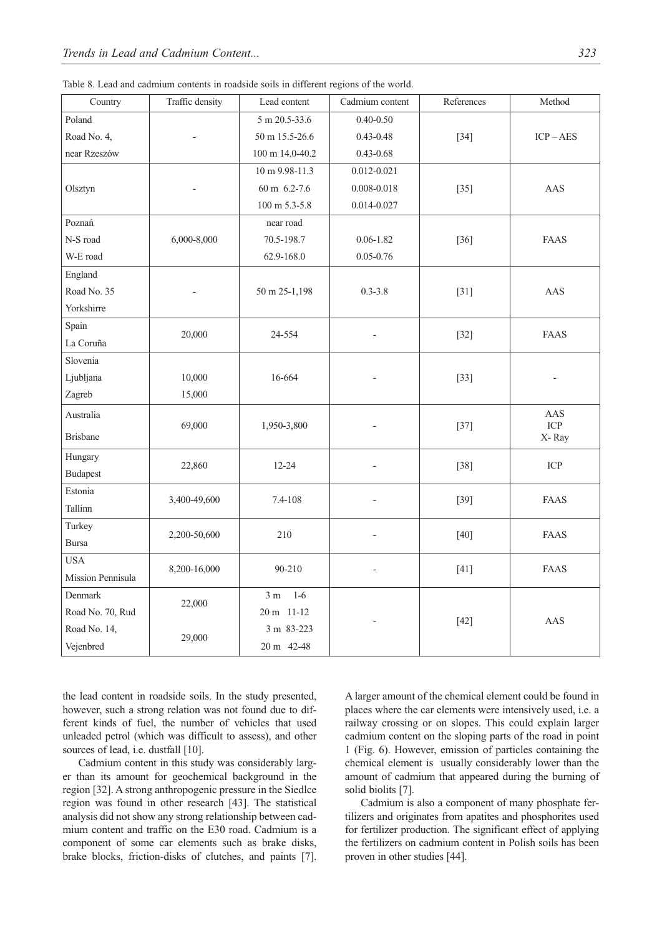|  |  | Table 8. Lead and cadmium contents in roadside soils in different regions of the world. |  |  |  |
|--|--|-----------------------------------------------------------------------------------------|--|--|--|
|  |  |                                                                                         |  |  |  |

| Country           | Traffic density | Lead content            | Cadmium content | References | Method      |
|-------------------|-----------------|-------------------------|-----------------|------------|-------------|
| Poland            |                 | 5 m 20.5-33.6           | $0.40 - 0.50$   |            |             |
| Road No. 4,       |                 | 50 m 15.5-26.6          | $0.43 - 0.48$   | $[34]$     | $ICP - AES$ |
| near Rzeszów      |                 | 100 m 14.0-40.2         | $0.43 - 0.68$   |            |             |
|                   |                 | 10 m 9.98-11.3          | $0.012 - 0.021$ |            |             |
| Olsztyn           |                 | 60 m 6.2-7.6            | $0.008 - 0.018$ | $[35]$     | AAS         |
|                   |                 | 100 m 5.3-5.8           | 0.014-0.027     |            |             |
| Poznań            |                 | near road               |                 |            |             |
| N-S road          | 6,000-8,000     | 70.5-198.7              | $0.06 - 1.82$   | $[36]$     | <b>FAAS</b> |
| W-E road          |                 | 62.9-168.0              | $0.05 - 0.76$   |            |             |
| England           |                 |                         |                 |            |             |
| Road No. 35       |                 | 50 m 25-1,198           | $0.3 - 3.8$     | $[31]$     | AAS         |
| Yorkshirre        |                 |                         |                 |            |             |
| Spain             | 20,000          | 24-554                  |                 |            | <b>FAAS</b> |
| La Coruña         |                 |                         |                 | $[32]$     |             |
| Slovenia          |                 |                         |                 |            |             |
| Ljubljana         | 10,000          | 16-664                  |                 | $[33]$     |             |
| Zagreb            | 15,000          |                         |                 |            |             |
| Australia         |                 |                         |                 |            | AAS         |
| <b>Brisbane</b>   | 69,000          | 1,950-3,800             |                 | $[37]$     | ICP         |
|                   |                 |                         |                 |            | X-Ray       |
| Hungary           | 22,860          | $12 - 24$               |                 | $[38]$     | ICP         |
| <b>Budapest</b>   |                 |                         |                 |            |             |
| Estonia           | 3,400-49,600    | 7.4-108                 |                 | $[39]$     | <b>FAAS</b> |
| Tallinn           |                 |                         |                 |            |             |
| Turkey            | 2,200-50,600    | 210                     | $\overline{a}$  | $[40]$     | <b>FAAS</b> |
| <b>Bursa</b>      |                 |                         |                 |            |             |
| <b>USA</b>        | 8,200-16,000    | 90-210                  |                 | $[41]$     | FAAS        |
| Mission Pennisula |                 |                         |                 |            |             |
| Denmark           | 22,000          | $1-6$<br>3 <sub>m</sub> |                 |            |             |
| Road No. 70, Rud  |                 | 20 m 11-12              |                 | $[42]$     | AAS         |
| Road No. 14,      | 29,000          | 3 m 83-223              |                 |            |             |
| Vejenbred         |                 | 20 m 42-48              |                 |            |             |

the lead content in roadside soils. In the study presented, however, such a strong relation was not found due to different kinds of fuel, the number of vehicles that used unleaded petrol (which was difficult to assess), and other sources of lead, i.e. dustfall [10].

Cadmium content in this study was considerably larger than its amount for geochemical background in the region [32]. A strong anthropogenic pressure in the Siedlce region was found in other research [43]. The statistical analysis did not show any strong relationship between cadmium content and traffic on the E30 road. Cadmium is a component of some car elements such as brake disks, brake blocks, friction-disks of clutches, and paints [7]. A larger amount of the chemical element could be found in places where the car elements were intensively used, i.e. a railway crossing or on slopes. This could explain larger cadmium content on the sloping parts of the road in point 1 (Fig. 6). However, emission of particles containing the chemical element is usually considerably lower than the amount of cadmium that appeared during the burning of solid biolits [7].

Cadmium is also a component of many phosphate fertilizers and originates from apatites and phosphorites used for fertilizer production. The significant effect of applying the fertilizers on cadmium content in Polish soils has been proven in other studies [44].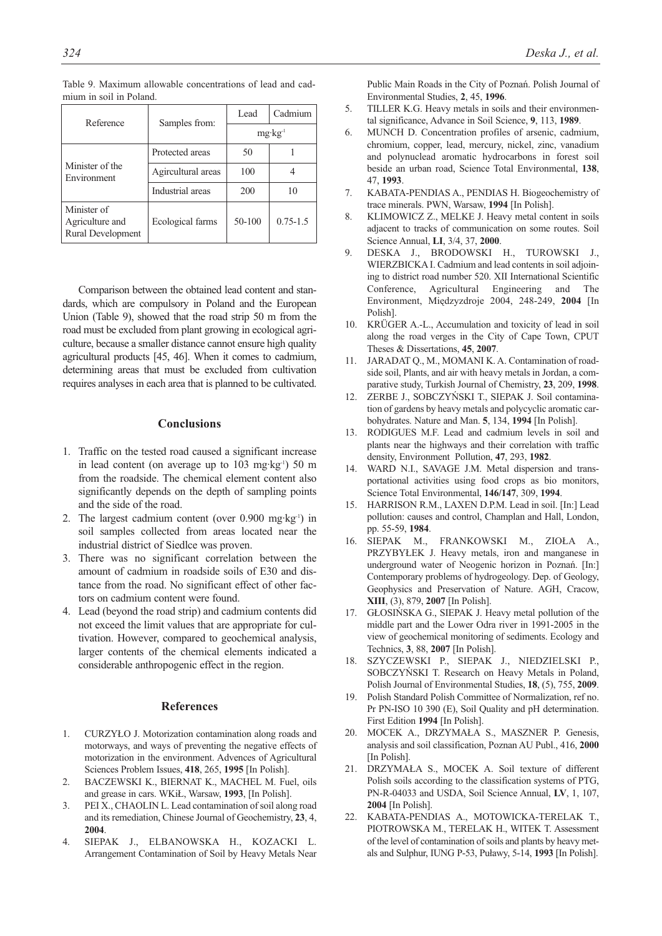| Reference                                           | Samples from:      | Cadmium<br>Lead    |              |  |
|-----------------------------------------------------|--------------------|--------------------|--------------|--|
|                                                     |                    | $mg \cdot kg^{-1}$ |              |  |
|                                                     | Protected areas    | 50                 |              |  |
| Minister of the<br>Environment                      | Agircultural areas | 100                |              |  |
|                                                     | Industrial areas   | 200                | 10           |  |
| Minister of<br>Agriculture and<br>Rural Development | Ecological farms   | 50-100             | $0.75 - 1.5$ |  |

Table 9. Maximum allowable concentrations of lead and cadmium in soil in Poland.

Comparison between the obtained lead content and standards, which are compulsory in Poland and the European Union (Table 9), showed that the road strip 50 m from the road must be excluded from plant growing in ecological agriculture, because a smaller distance cannot ensure high quality agricultural products [45, 46]. When it comes to cadmium, determining areas that must be excluded from cultivation requires analyses in each area that is planned to be cultivated.

# **Conclusions**

- 1. Traffic on the tested road caused a significant increase in lead content (on average up to  $103 \text{ mg} \cdot \text{kg}^{-1}$ ) 50 m from the roadside. The chemical element content also significantly depends on the depth of sampling points and the side of the road.
- 2. The largest cadmium content (over  $0.900$  mg·kg<sup>-1</sup>) in soil samples collected from areas located near the industrial district of Siedlce was proven.
- 3. There was no significant correlation between the amount of cadmium in roadside soils of E30 and distance from the road. No significant effect of other factors on cadmium content were found.
- 4. Lead (beyond the road strip) and cadmium contents did not exceed the limit values that are appropriate for cultivation. However, compared to geochemical analysis, larger contents of the chemical elements indicated a considerable anthropogenic effect in the region.

#### **References**

- 1. CURZYŁO J. Motorization contamination along roads and motorways, and ways of preventing the negative effects of motorization in the environment. Advences of Agricultural Sciences Problem Issues, **418**, 265, **1995** [In Polish].
- 2. BACZEWSKI K., BIERNAT K., MACHEL M. Fuel, oils and grease in cars. WKiŁ, Warsaw, **1993**, [In Polish].
- 3. PEI X., CHAOLIN L. Lead contamination of soil along road and its remediation, Chinese Journal of Geochemistry, **23**, 4, **2004**.
- 4. SIEPAK J., ELBANOWSKA H., KOZACKI L. Arrangement Contamination of Soil by Heavy Metals Near

Public Main Roads in the City of Poznań. Polish Journal of Environmental Studies, **2**, 45, **1996**.

- 5. TILLER K.G. Heavy metals in soils and their environmental significance, Advance in Soil Science, **9**, 113, **1989**.
- 6. MUNCH D. Concentration profiles of arsenic, cadmium, chromium, copper, lead, mercury, nickel, zinc, vanadium and polynuclead aromatic hydrocarbons in forest soil beside an urban road, Science Total Environmental, **138**, 47, **1993**.
- 7. KABATA-PENDIAS A., PENDIAS H. Biogeochemistry of trace minerals. PWN, Warsaw, **1994** [In Polish].
- 8. KLIMOWICZ Z., MELKE J. Heavy metal content in soils adjacent to tracks of communication on some routes. Soil Science Annual, **LI**, 3/4, 37, **2000**.
- 9. DESKA J., BRODOWSKI H., TUROWSKI J., WIERZBICKA I. Cadmium and lead contents in soil adjoining to district road number 520. XII International Scientific Conference, Agricultural Engineering and The Environment, Międzyzdroje 2004, 248-249, **2004** [In Polish].
- 10. KRÜGER A.-L., Accumulation and toxicity of lead in soil along the road verges in the City of Cape Town, CPUT Theses & Dissertations, **45**, **2007**.
- 11. JARADAT Q., M., MOMANI K. A. Contamination of roadside soil, Plants, and air with heavy metals in Jordan, a comparative study, Turkish Journal of Chemistry, **23**, 209, **1998**.
- 12. ZERBE J., SOBCZYŃSKI T., SIEPAK J. Soil contamination of gardens by heavy metals and polycyclic aromatic carbohydrates. Nature and Man. **5**, 134, **1994** [In Polish].
- 13. RODIGUES M.F. Lead and cadmium levels in soil and plants near the highways and their correlation with traffic density, Environment Pollution, **47**, 293, **1982**.
- 14. WARD N.I., SAVAGE J.M. Metal dispersion and transportational activities using food crops as bio monitors, Science Total Environmental, **146/147**, 309, **1994**.
- HARRISON R.M., LAXEN D.P.M. Lead in soil. [In:] Lead pollution: causes and control, Champlan and Hall, London, pp. 55-59, **1984**.
- 16. SIEPAK M., FRANKOWSKI M., ZIOŁA A., PRZYBYŁEK J. Heavy metals, iron and manganese in underground water of Neogenic horizon in Poznań. [In:] Contemporary problems of hydrogeology. Dep. of Geology, Geophysics and Preservation of Nature. AGH, Cracow, **XIII**, (3), 879, **2007** [In Polish].
- 17. GŁOSIŃSKA G., SIEPAK J. Heavy metal pollution of the middle part and the Lower Odra river in 1991-2005 in the view of geochemical monitoring of sediments. Ecology and Technics, **3**, 88, **2007** [In Polish].
- 18. SZYCZEWSKI P., SIEPAK J., NIEDZIELSKI P., SOBCZYŃSKI T. Research on Heavy Metals in Poland, Polish Journal of Environmental Studies, **18**, (5), 755, **2009**.
- 19. Polish Standard Polish Committee of Normalization, ref no. Pr PN-ISO 10 390 (E), Soil Quality and pH determination. First Edition **1994** [In Polish].
- 20. MOCEK A., DRZYMAŁA S., MASZNER P. Genesis, analysis and soil classification, Poznan AU Publ., 416, **2000** [In Polish].
- 21. DRZYMAŁA S., MOCEK A. Soil texture of different Polish soils according to the classification systems of PTG, PN-R-04033 and USDA, Soil Science Annual, **LV**, 1, 107, **2004** [In Polish].
- 22. KABATA-PENDIAS A., MOTOWICKA-TERELAK T., PIOTROWSKA M., TERELAK H., WITEK T. Assessment of the level of contamination of soils and plants by heavy metals and Sulphur, IUNG P-53, Puławy, 5-14, **1993** [In Polish].